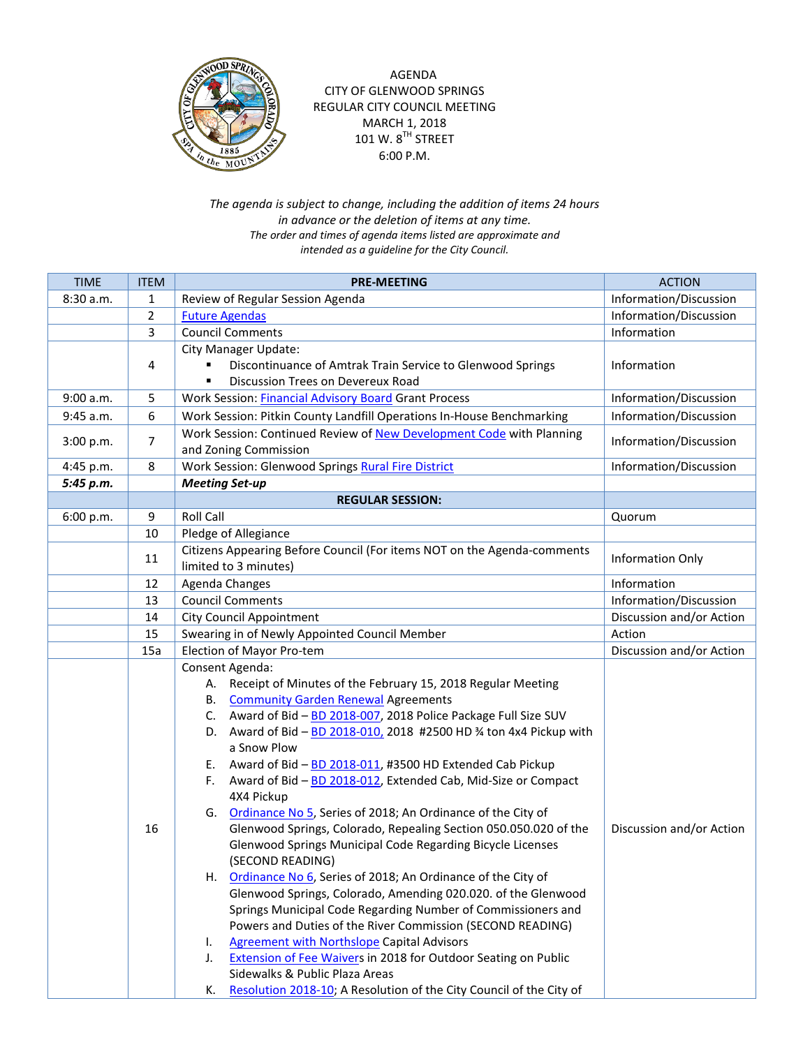

AGENDA CITY OF GLENWOOD SPRINGS REGULAR CITY COUNCIL MEETING MARCH 1, 2018 101 W.  $8^{TH}$  STREET 6:00 P.M.

*The agenda is subject to change, including the addition of items 24 hours in advance or the deletion of items at any time. The order and times of agenda items listed are approximate and intended as a guideline for the City Council.*

| <b>TIME</b> | <b>ITEM</b>    | <b>PRE-MEETING</b>                                                          | <b>ACTION</b>            |
|-------------|----------------|-----------------------------------------------------------------------------|--------------------------|
| 8:30 a.m.   | 1              | Review of Regular Session Agenda                                            | Information/Discussion   |
|             | $\overline{2}$ | <b>Future Agendas</b>                                                       | Information/Discussion   |
|             | 3              | <b>Council Comments</b>                                                     | Information              |
|             |                | City Manager Update:                                                        |                          |
|             | 4              | Discontinuance of Amtrak Train Service to Glenwood Springs                  | Information              |
|             |                | Discussion Trees on Devereux Road                                           |                          |
| 9:00 a.m.   | 5              | Work Session: Financial Advisory Board Grant Process                        | Information/Discussion   |
| 9:45 a.m.   | 6              | Work Session: Pitkin County Landfill Operations In-House Benchmarking       | Information/Discussion   |
| 3:00 p.m.   | 7              | Work Session: Continued Review of New Development Code with Planning        | Information/Discussion   |
|             |                | and Zoning Commission                                                       |                          |
| 4:45 p.m.   | 8              | Work Session: Glenwood Springs Rural Fire District                          | Information/Discussion   |
| 5:45 p.m.   |                | <b>Meeting Set-up</b>                                                       |                          |
|             |                | <b>REGULAR SESSION:</b>                                                     |                          |
| 6:00 p.m.   | 9              | <b>Roll Call</b>                                                            | Quorum                   |
|             | 10             | Pledge of Allegiance                                                        |                          |
|             | 11             | Citizens Appearing Before Council (For items NOT on the Agenda-comments     | Information Only         |
|             |                | limited to 3 minutes)                                                       |                          |
|             | 12             | Agenda Changes                                                              | Information              |
|             | 13             | <b>Council Comments</b>                                                     | Information/Discussion   |
|             | 14             | <b>City Council Appointment</b>                                             | Discussion and/or Action |
|             | 15             | Swearing in of Newly Appointed Council Member                               | Action                   |
|             | 15a            | Election of Mayor Pro-tem                                                   | Discussion and/or Action |
|             |                | Consent Agenda:                                                             |                          |
|             |                | A. Receipt of Minutes of the February 15, 2018 Regular Meeting              |                          |
|             |                | <b>B.</b> Community Garden Renewal Agreements                               |                          |
|             |                | C. Award of Bid - BD 2018-007, 2018 Police Package Full Size SUV            |                          |
|             |                | D. Award of Bid - BD 2018-010, 2018 #2500 HD % ton 4x4 Pickup with          |                          |
|             |                | a Snow Plow<br>E. Award of Bid - BD 2018-011, #3500 HD Extended Cab Pickup  |                          |
|             |                | Award of Bid - BD 2018-012, Extended Cab, Mid-Size or Compact<br>F.         |                          |
|             |                | 4X4 Pickup                                                                  |                          |
|             |                | G. Ordinance No 5, Series of 2018; An Ordinance of the City of              |                          |
|             | 16             | Glenwood Springs, Colorado, Repealing Section 050.050.020 of the            | Discussion and/or Action |
|             |                | Glenwood Springs Municipal Code Regarding Bicycle Licenses                  |                          |
|             |                | (SECOND READING)                                                            |                          |
|             |                | H. Ordinance No 6, Series of 2018; An Ordinance of the City of              |                          |
|             |                | Glenwood Springs, Colorado, Amending 020.020. of the Glenwood               |                          |
|             |                | Springs Municipal Code Regarding Number of Commissioners and                |                          |
|             |                | Powers and Duties of the River Commission (SECOND READING)                  |                          |
|             |                | <b>Agreement with Northslope Capital Advisors</b><br>ı.                     |                          |
|             |                | <b>Extension of Fee Waivers in 2018 for Outdoor Seating on Public</b><br>J. |                          |
|             |                | Sidewalks & Public Plaza Areas                                              |                          |
|             |                | Resolution 2018-10; A Resolution of the City Council of the City of<br>К.   |                          |